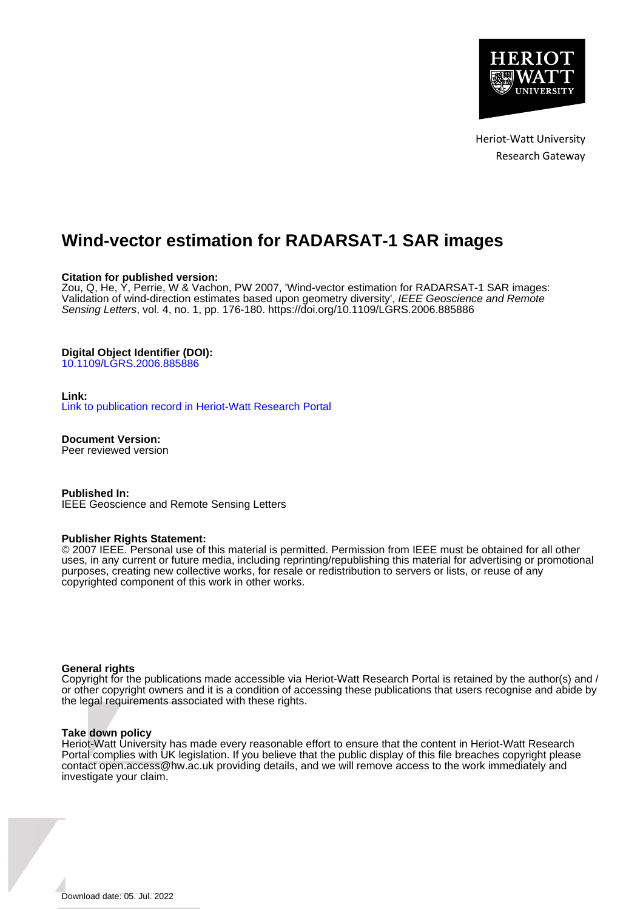

Heriot-Watt University Research Gateway

# **Wind-vector estimation for RADARSAT-1 SAR images**

# **Citation for published version:**

Zou, Q, He, Y, Perrie, W & Vachon, PW 2007, 'Wind-vector estimation for RADARSAT-1 SAR images: Validation of wind-direction estimates based upon geometry diversity', IEEE Geoscience and Remote Sensing Letters, vol. 4, no. 1, pp. 176-180.<https://doi.org/10.1109/LGRS.2006.885886>

# **Digital Object Identifier (DOI):**

[10.1109/LGRS.2006.885886](https://doi.org/10.1109/LGRS.2006.885886)

# **Link:**

[Link to publication record in Heriot-Watt Research Portal](https://researchportal.hw.ac.uk/en/publications/b9a19e52-5516-4570-86ee-51ac55d9c530)

**Document Version:** Peer reviewed version

**Published In:** IEEE Geoscience and Remote Sensing Letters

# **Publisher Rights Statement:**

© 2007 IEEE. Personal use of this material is permitted. Permission from IEEE must be obtained for all other uses, in any current or future media, including reprinting/republishing this material for advertising or promotional purposes, creating new collective works, for resale or redistribution to servers or lists, or reuse of any copyrighted component of this work in other works.

# **General rights**

Copyright for the publications made accessible via Heriot-Watt Research Portal is retained by the author(s) and / or other copyright owners and it is a condition of accessing these publications that users recognise and abide by the legal requirements associated with these rights.

# **Take down policy**

Heriot-Watt University has made every reasonable effort to ensure that the content in Heriot-Watt Research Portal complies with UK legislation. If you believe that the public display of this file breaches copyright please contact open.access@hw.ac.uk providing details, and we will remove access to the work immediately and investigate your claim.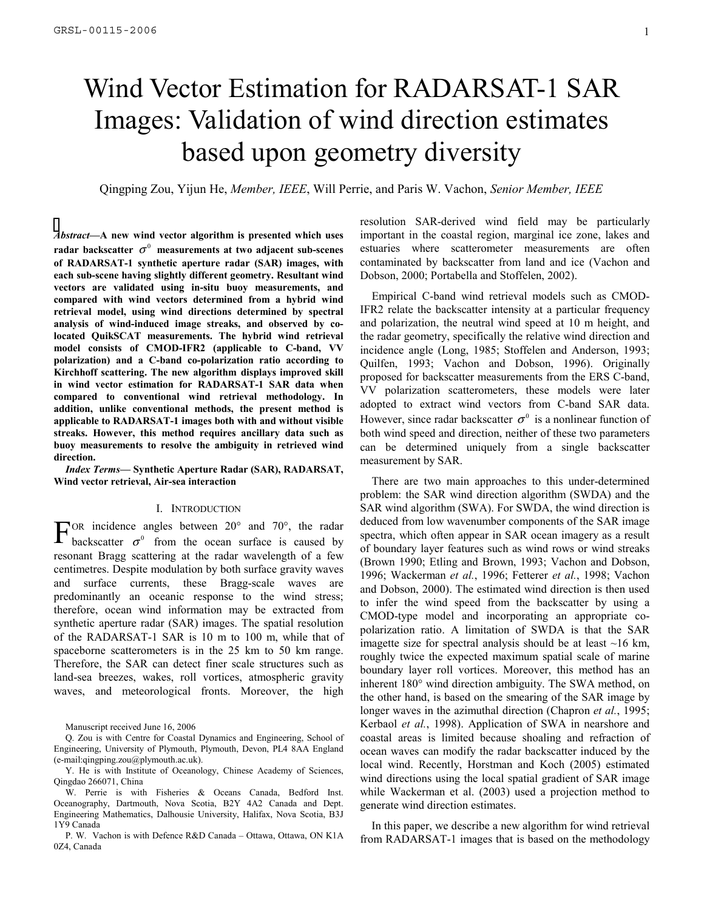# Wind Vector Estimation for RADARSAT-1 SAR Images: Validation of wind direction estimates based upon geometry diversity

Qingping Zou, Yijun He, *Member, IEEE*, Will Perrie, and Paris W. Vachon, *Senior Member, IEEE* 

*Abstract***—A new wind vector algorithm is presented which uses radar backscatter**  $\sigma^0$  measurements at two adjacent sub-scenes **of RADARSAT-1 synthetic aperture radar (SAR) images, with each sub-scene having slightly different geometry. Resultant wind vectors are validated using in-situ buoy measurements, and compared with wind vectors determined from a hybrid wind retrieval model, using wind directions determined by spectral analysis of wind-induced image streaks, and observed by colocated QuikSCAT measurements. The hybrid wind retrieval model consists of CMOD-IFR2 (applicable to C-band, VV polarization) and a C-band co-polarization ratio according to Kirchhoff scattering. The new algorithm displays improved skill in wind vector estimation for RADARSAT-1 SAR data when compared to conventional wind retrieval methodology. In addition, unlike conventional methods, the present method is applicable to RADARSAT-1 images both with and without visible streaks. However, this method requires ancillary data such as buoy measurements to resolve the ambiguity in retrieved wind direction.** 

*Index Terms***— Synthetic Aperture Radar (SAR), RADARSAT, Wind vector retrieval, Air-sea interaction** 

#### I. INTRODUCTION

OR incidence angles between 20° and 70°, the radar FOR incidence angles between 20° and 70°, the radar backscatter  $\sigma^0$  from the ocean surface is caused by resonant Bragg scattering at the radar wavelength of a few centimetres. Despite modulation by both surface gravity waves and surface currents, these Bragg-scale waves are predominantly an oceanic response to the wind stress; therefore, ocean wind information may be extracted from synthetic aperture radar (SAR) images. The spatial resolution of the RADARSAT-1 SAR is 10 m to 100 m, while that of spaceborne scatterometers is in the 25 km to 50 km range. Therefore, the SAR can detect finer scale structures such as land-sea breezes, wakes, roll vortices, atmospheric gravity waves, and meteorological fronts. Moreover, the high

Manuscript received June 16, 2006

P. W. Vachon is with Defence R&D Canada – Ottawa, Ottawa, ON K1A 0Z4, Canada

resolution SAR-derived wind field may be particularly important in the coastal region, marginal ice zone, lakes and estuaries where scatterometer measurements are often contaminated by backscatter from land and ice (Vachon and Dobson, 2000; Portabella and Stoffelen, 2002).

Empirical C-band wind retrieval models such as CMOD-IFR2 relate the backscatter intensity at a particular frequency and polarization, the neutral wind speed at 10 m height, and the radar geometry, specifically the relative wind direction and incidence angle (Long, 1985; Stoffelen and Anderson, 1993; Quilfen, 1993; Vachon and Dobson, 1996). Originally proposed for backscatter measurements from the ERS C-band, VV polarization scatterometers, these models were later adopted to extract wind vectors from C-band SAR data. However, since radar backscatter  $\sigma^0$  is a nonlinear function of both wind speed and direction, neither of these two parameters can be determined uniquely from a single backscatter measurement by SAR.

There are two main approaches to this under-determined problem: the SAR wind direction algorithm (SWDA) and the SAR wind algorithm (SWA). For SWDA, the wind direction is deduced from low wavenumber components of the SAR image spectra, which often appear in SAR ocean imagery as a result of boundary layer features such as wind rows or wind streaks (Brown 1990; Etling and Brown, 1993; Vachon and Dobson, 1996; Wackerman *et al.*, 1996; Fetterer *et al.*, 1998; Vachon and Dobson, 2000). The estimated wind direction is then used to infer the wind speed from the backscatter by using a CMOD-type model and incorporating an appropriate copolarization ratio. A limitation of SWDA is that the SAR imagette size for spectral analysis should be at least  $\sim$ 16 km, roughly twice the expected maximum spatial scale of marine boundary layer roll vortices. Moreover, this method has an inherent 180° wind direction ambiguity. The SWA method, on the other hand, is based on the smearing of the SAR image by longer waves in the azimuthal direction (Chapron *et al.*, 1995; Kerbaol *et al.*, 1998). Application of SWA in nearshore and coastal areas is limited because shoaling and refraction of ocean waves can modify the radar backscatter induced by the local wind. Recently, Horstman and Koch (2005) estimated wind directions using the local spatial gradient of SAR image while Wackerman et al. (2003) used a projection method to generate wind direction estimates.

In this paper, we describe a new algorithm for wind retrieval from RADARSAT-1 images that is based on the methodology

Q. Zou is with Centre for Coastal Dynamics and Engineering, School of Engineering, University of Plymouth, Plymouth, Devon, PL4 8AA England (e-mail:qingping.zou@plymouth.ac.uk).

Y. He is with Institute of Oceanology, Chinese Academy of Sciences, Qingdao 266071, China

W. Perrie is with Fisheries & Oceans Canada, Bedford Inst. Oceanography, Dartmouth, Nova Scotia, B2Y 4A2 Canada and Dept. Engineering Mathematics, Dalhousie University, Halifax, Nova Scotia, B3J 1Y9 Canada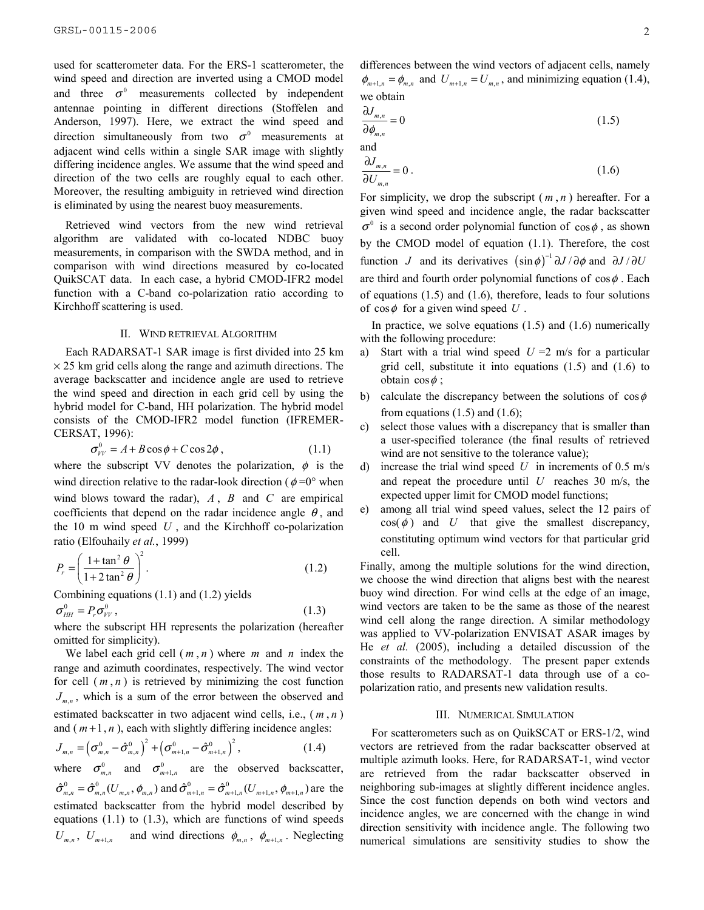used for scatterometer data. For the ERS-1 scatterometer, the wind speed and direction are inverted using a CMOD model and three  $\sigma^0$  measurements collected by independent antennae pointing in different directions (Stoffelen and Anderson, 1997). Here, we extract the wind speed and direction simultaneously from two  $\sigma^0$  measurements at adjacent wind cells within a single SAR image with slightly differing incidence angles. We assume that the wind speed and direction of the two cells are roughly equal to each other. Moreover, the resulting ambiguity in retrieved wind direction is eliminated by using the nearest buoy measurements.

Retrieved wind vectors from the new wind retrieval algorithm are validated with co-located NDBC buoy measurements, in comparison with the SWDA method, and in comparison with wind directions measured by co-located QuikSCAT data. In each case, a hybrid CMOD-IFR2 model function with a C-band co-polarization ratio according to Kirchhoff scattering is used.

#### II. WIND RETRIEVAL ALGORITHM

Each RADARSAT-1 SAR image is first divided into 25 km  $\times$  25 km grid cells along the range and azimuth directions. The average backscatter and incidence angle are used to retrieve the wind speed and direction in each grid cell by using the hybrid model for C-band, HH polarization. The hybrid model consists of the CMOD-IFR2 model function (IFREMER-CERSAT, 1996):

$$
\sigma_{VV}^0 = A + B \cos \phi + C \cos 2\phi , \qquad (1.1)
$$

where the subscript VV denotes the polarization,  $\phi$  is the wind direction relative to the radar-look direction ( $\phi = 0^{\circ}$  when wind blows toward the radar), *A* , *B* and *C* are empirical coefficients that depend on the radar incidence angle  $\theta$ , and the 10 m wind speed *U* , and the Kirchhoff co-polarization ratio (Elfouhaily et al., 1999)

$$
P_r = \left(\frac{1 + \tan^2 \theta}{1 + 2 \tan^2 \theta}\right)^2.
$$
 (1.2)

Combining equations (1.1) and (1.2) yields  $\sigma_{HH}^0 = P_r \sigma_{VV}^0$ , (1.3)

where the subscript HH represents the polarization (hereafter omitted for simplicity).

 We label each grid cell ( *m* , *n* ) where *m* and *n* index the range and azimuth coordinates, respectively. The wind vector for cell  $(m, n)$  is retrieved by minimizing the cost function  $J_{mn}$ , which is a sum of the error between the observed and estimated backscatter in two adjacent wind cells, i.e., ( *m* , *n* ) and  $(m+1, n)$ , each with slightly differing incidence angles:

$$
J_{m,n} = \left(\sigma_{m,n}^0 - \hat{\sigma}_{m,n}^0\right)^2 + \left(\sigma_{m+1,n}^0 - \hat{\sigma}_{m+1,n}^0\right)^2, \qquad (1.4)
$$

where  $\sigma_{m,n}^0$  and  $\sigma_{m+1,n}^0$  are the observed backscatter,  $\hat{\sigma}_{m,n}^0 = \hat{\sigma}_{m,n}^0(U_{m,n}, \phi_{m,n})$  and  $\hat{\sigma}_{m+1,n}^0 = \hat{\sigma}_{m+1,n}^0(U_{m+1,n}, \phi_{m+1,n})$  are the estimated backscatter from the hybrid model described by equations  $(1.1)$  to  $(1.3)$ , which are functions of wind speeds  $U_{m,n}$ ,  $U_{m+1,n}$  and wind directions  $\phi_{m,n}$ ,  $\phi_{m+1,n}$ . Neglecting

differences between the wind vectors of adjacent cells, namely  $\phi_{m+1,n} = \phi_{m,n}$  and  $U_{m+1,n} = U_{m,n}$ , and minimizing equation (1.4), we obtain

$$
\frac{\partial J_{m,n}}{\partial \phi_{m,n}} = 0 \tag{1.5}
$$

and

$$
\frac{\partial J_{m,n}}{\partial U_{m,n}} = 0.
$$
\n(1.6)

For simplicity, we drop the subscript ( *m* , *n* ) hereafter. For a given wind speed and incidence angle, the radar backscatter  $\sigma^0$  is a second order polynomial function of cos $\phi$ , as shown by the CMOD model of equation (1.1). Therefore, the cost function *J* and its derivatives  $(\sin \phi)^{-1} \partial J / \partial \phi$  and  $\partial J / \partial U$ are third and fourth order polynomial functions of  $\cos \phi$ . Each of equations (1.5) and (1.6), therefore, leads to four solutions of  $\cos \phi$  for a given wind speed  $U$ .

In practice, we solve equations  $(1.5)$  and  $(1.6)$  numerically with the following procedure:

- a) Start with a trial wind speed  $U = 2$  m/s for a particular grid cell, substitute it into equations (1.5) and (1.6) to obtain  $\cos \phi$ ;
- b) calculate the discrepancy between the solutions of  $\cos \phi$ from equations  $(1.5)$  and  $(1.6)$ ;
- c) select those values with a discrepancy that is smaller than a user-specified tolerance (the final results of retrieved wind are not sensitive to the tolerance value);
- d) increase the trial wind speed *U* in increments of 0.5 m/s and repeat the procedure until *U* reaches 30 m/s, the expected upper limit for CMOD model functions;
- e) among all trial wind speed values, select the 12 pairs of  $cos(\phi)$  and *U* that give the smallest discrepancy, constituting optimum wind vectors for that particular grid cell.

Finally, among the multiple solutions for the wind direction, we choose the wind direction that aligns best with the nearest buoy wind direction. For wind cells at the edge of an image, wind vectors are taken to be the same as those of the nearest wind cell along the range direction. A similar methodology was applied to VV-polarization ENVISAT ASAR images by He *et al.* (2005), including a detailed discussion of the constraints of the methodology. The present paper extends those results to RADARSAT-1 data through use of a copolarization ratio, and presents new validation results.

# III. NUMERICAL SIMULATION

For scatterometers such as on QuikSCAT or ERS-1/2, wind vectors are retrieved from the radar backscatter observed at multiple azimuth looks. Here, for RADARSAT-1, wind vector are retrieved from the radar backscatter observed in neighboring sub-images at slightly different incidence angles. Since the cost function depends on both wind vectors and incidence angles, we are concerned with the change in wind direction sensitivity with incidence angle. The following two numerical simulations are sensitivity studies to show the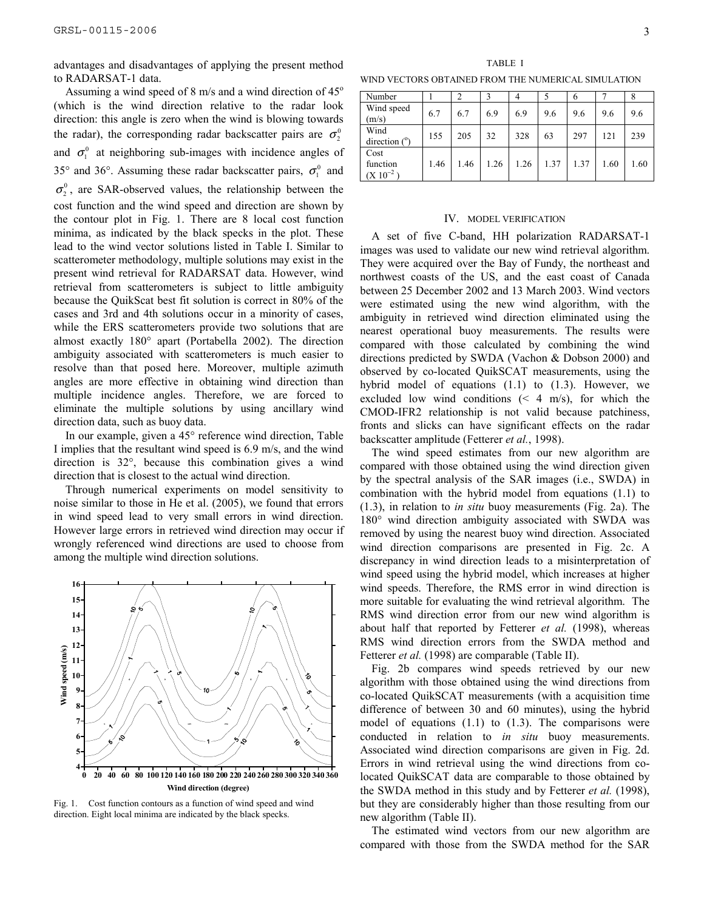advantages and disadvantages of applying the present method to RADARSAT-1 data.

Assuming a wind speed of 8 m/s and a wind direction of  $45^{\circ}$ (which is the wind direction relative to the radar look direction: this angle is zero when the wind is blowing towards the radar), the corresponding radar backscatter pairs are  $\sigma_2^0$ and  $\sigma_1^0$  at neighboring sub-images with incidence angles of 35° and 36°. Assuming these radar backscatter pairs,  $\sigma_1^0$  and  $\sigma_2^0$ , are SAR-observed values, the relationship between the cost function and the wind speed and direction are shown by the contour plot in Fig. 1. There are 8 local cost function minima, as indicated by the black specks in the plot. These lead to the wind vector solutions listed in Table I. Similar to scatterometer methodology, multiple solutions may exist in the present wind retrieval for RADARSAT data. However, wind retrieval from scatterometers is subject to little ambiguity because the QuikScat best fit solution is correct in 80% of the cases and 3rd and 4th solutions occur in a minority of cases, while the ERS scatterometers provide two solutions that are almost exactly 180° apart (Portabella 2002). The direction ambiguity associated with scatterometers is much easier to resolve than that posed here. Moreover, multiple azimuth angles are more effective in obtaining wind direction than multiple incidence angles. Therefore, we are forced to eliminate the multiple solutions by using ancillary wind direction data, such as buoy data.

In our example, given a 45° reference wind direction, Table I implies that the resultant wind speed is 6.9 m/s, and the wind direction is 32°, because this combination gives a wind direction that is closest to the actual wind direction.

Through numerical experiments on model sensitivity to noise similar to those in He et al. (2005), we found that errors in wind speed lead to very small errors in wind direction. However large errors in retrieved wind direction may occur if wrongly referenced wind directions are used to choose from among the multiple wind direction solutions.



Fig. 1. Cost function contours as a function of wind speed and wind direction. Eight local minima are indicated by the black specks.

TABLE I WIND VECTORS OBTAINED FROM THE NUMERICAL SIMULATION

| Number                            |      |      |      | 4    |      | 6    |      | 8    |
|-----------------------------------|------|------|------|------|------|------|------|------|
| Wind speed<br>(m/s)               | 6.7  | 6.7  | 6.9  | 6.9  | 9.6  | 9.6  | 9.6  | 9.6  |
| Wind<br>direction $(°)$           | 155  | 205  | 32   | 328  | 63   | 297  | 121  | 239  |
| Cost<br>function<br>$(X 10^{-2})$ | 1.46 | 1.46 | 1.26 | 1.26 | 1.37 | 1.37 | 1.60 | 1.60 |

#### IV. MODEL VERIFICATION

A set of five C-band, HH polarization RADARSAT-1 images was used to validate our new wind retrieval algorithm. They were acquired over the Bay of Fundy, the northeast and northwest coasts of the US, and the east coast of Canada between 25 December 2002 and 13 March 2003. Wind vectors were estimated using the new wind algorithm, with the ambiguity in retrieved wind direction eliminated using the nearest operational buoy measurements. The results were compared with those calculated by combining the wind directions predicted by SWDA (Vachon & Dobson 2000) and observed by co-located QuikSCAT measurements, using the hybrid model of equations (1.1) to (1.3). However, we excluded low wind conditions  $($   $4 \,$  m/s), for which the CMOD-IFR2 relationship is not valid because patchiness, fronts and slicks can have significant effects on the radar backscatter amplitude (Fetterer *et al.*, 1998).

The wind speed estimates from our new algorithm are compared with those obtained using the wind direction given by the spectral analysis of the SAR images (i.e., SWDA) in combination with the hybrid model from equations (1.1) to (1.3), in relation to *in situ* buoy measurements (Fig. 2a). The 180° wind direction ambiguity associated with SWDA was removed by using the nearest buoy wind direction. Associated wind direction comparisons are presented in Fig. 2c. A discrepancy in wind direction leads to a misinterpretation of wind speed using the hybrid model, which increases at higher wind speeds. Therefore, the RMS error in wind direction is more suitable for evaluating the wind retrieval algorithm. The RMS wind direction error from our new wind algorithm is about half that reported by Fetterer *et al.* (1998), whereas RMS wind direction errors from the SWDA method and Fetterer *et al.* (1998) are comparable (Table II).

Fig. 2b compares wind speeds retrieved by our new algorithm with those obtained using the wind directions from co-located QuikSCAT measurements (with a acquisition time difference of between 30 and 60 minutes), using the hybrid model of equations  $(1.1)$  to  $(1.3)$ . The comparisons were conducted in relation to *in situ* buoy measurements. Associated wind direction comparisons are given in Fig. 2d. Errors in wind retrieval using the wind directions from colocated QuikSCAT data are comparable to those obtained by the SWDA method in this study and by Fetterer *et al.* (1998), but they are considerably higher than those resulting from our new algorithm (Table II).

The estimated wind vectors from our new algorithm are compared with those from the SWDA method for the SAR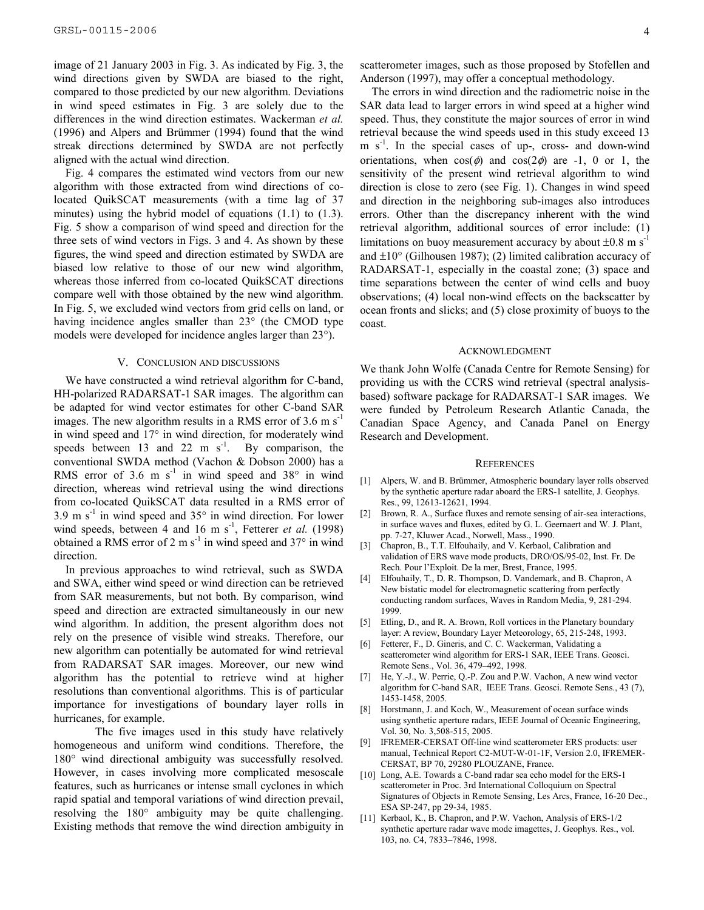image of 21 January 2003 in Fig. 3. As indicated by Fig. 3, the wind directions given by SWDA are biased to the right, compared to those predicted by our new algorithm. Deviations in wind speed estimates in Fig. 3 are solely due to the differences in the wind direction estimates. Wackerman *et al.* (1996) and Alpers and Brümmer (1994) found that the wind streak directions determined by SWDA are not perfectly aligned with the actual wind direction.

Fig. 4 compares the estimated wind vectors from our new algorithm with those extracted from wind directions of colocated QuikSCAT measurements (with a time lag of 37 minutes) using the hybrid model of equations (1.1) to (1.3). Fig. 5 show a comparison of wind speed and direction for the three sets of wind vectors in Figs. 3 and 4. As shown by these figures, the wind speed and direction estimated by SWDA are biased low relative to those of our new wind algorithm, whereas those inferred from co-located QuikSCAT directions compare well with those obtained by the new wind algorithm. In Fig. 5, we excluded wind vectors from grid cells on land, or having incidence angles smaller than 23° (the CMOD type models were developed for incidence angles larger than 23°).

#### V. CONCLUSION AND DISCUSSIONS

We have constructed a wind retrieval algorithm for C-band, HH-polarized RADARSAT-1 SAR images. The algorithm can be adapted for wind vector estimates for other C-band SAR images. The new algorithm results in a RMS error of  $3.6 \text{ m s}^{-1}$ in wind speed and 17° in wind direction, for moderately wind speeds between 13 and 22 m  $s^{-1}$ . By comparison, the conventional SWDA method (Vachon & Dobson 2000) has a RMS error of 3.6 m  $s<sup>-1</sup>$  in wind speed and 38° in wind direction, whereas wind retrieval using the wind directions from co-located QuikSCAT data resulted in a RMS error of  $3.9 \text{ m s}^{-1}$  in wind speed and  $35^{\circ}$  in wind direction. For lower wind speeds, between 4 and 16 m s<sup>-1</sup>, Fetterer *et al.* (1998) obtained a RMS error of 2 m s<sup>-1</sup> in wind speed and  $37^{\circ}$  in wind direction.

In previous approaches to wind retrieval, such as SWDA and SWA, either wind speed or wind direction can be retrieved from SAR measurements, but not both. By comparison, wind speed and direction are extracted simultaneously in our new wind algorithm. In addition, the present algorithm does not rely on the presence of visible wind streaks. Therefore, our new algorithm can potentially be automated for wind retrieval from RADARSAT SAR images. Moreover, our new wind algorithm has the potential to retrieve wind at higher resolutions than conventional algorithms. This is of particular importance for investigations of boundary layer rolls in hurricanes, for example.

The five images used in this study have relatively homogeneous and uniform wind conditions. Therefore, the 180° wind directional ambiguity was successfully resolved. However, in cases involving more complicated mesoscale features, such as hurricanes or intense small cyclones in which rapid spatial and temporal variations of wind direction prevail, resolving the 180° ambiguity may be quite challenging. Existing methods that remove the wind direction ambiguity in scatterometer images, such as those proposed by Stofellen and Anderson (1997), may offer a conceptual methodology.

The errors in wind direction and the radiometric noise in the SAR data lead to larger errors in wind speed at a higher wind speed. Thus, they constitute the major sources of error in wind retrieval because the wind speeds used in this study exceed 13  $m s<sup>-1</sup>$ . In the special cases of up-, cross- and down-wind orientations, when  $cos(\phi)$  and  $cos(2\phi)$  are -1, 0 or 1, the sensitivity of the present wind retrieval algorithm to wind direction is close to zero (see Fig. 1). Changes in wind speed and direction in the neighboring sub-images also introduces errors. Other than the discrepancy inherent with the wind retrieval algorithm, additional sources of error include: (1) limitations on buoy measurement accuracy by about  $\pm 0.8$  m s<sup>-1</sup> and  $\pm 10^{\circ}$  (Gilhousen 1987); (2) limited calibration accuracy of RADARSAT-1, especially in the coastal zone; (3) space and time separations between the center of wind cells and buoy observations; (4) local non-wind effects on the backscatter by ocean fronts and slicks; and (5) close proximity of buoys to the coast.

#### ACKNOWLEDGMENT

We thank John Wolfe (Canada Centre for Remote Sensing) for providing us with the CCRS wind retrieval (spectral analysisbased) software package for RADARSAT-1 SAR images. We were funded by Petroleum Research Atlantic Canada, the Canadian Space Agency, and Canada Panel on Energy Research and Development.

#### **REFERENCES**

- [1] Alpers, W. and B. Brümmer, Atmospheric boundary layer rolls observed by the synthetic aperture radar aboard the ERS-1 satellite, J. Geophys. Res., 99, 12613-12621, 1994.
- [2] Brown, R. A., Surface fluxes and remote sensing of air-sea interactions, in surface waves and fluxes, edited by G. L. Geernaert and W. J. Plant, pp. 7-27, Kluwer Acad., Norwell, Mass., 1990.
- [3] Chapron, B., T.T. Elfouhaily, and V. Kerbaol, Calibration and validation of ERS wave mode products, DRO/OS/95-02, Inst. Fr. De Rech. Pour l'Exploit. De la mer, Brest, France, 1995.
- [4] Elfouhaily, T., D. R. Thompson, D. Vandemark, and B. Chapron, A New bistatic model for electromagnetic scattering from perfectly conducting random surfaces, Waves in Random Media, 9, 281-294. 1999.
- [5] Etling, D., and R. A. Brown, Roll vortices in the Planetary boundary layer: A review, Boundary Layer Meteorology, 65, 215-248, 1993.
- [6] Fetterer, F., D. Gineris, and C. C. Wackerman, Validating a scatterometer wind algorithm for ERS-1 SAR, IEEE Trans. Geosci. Remote Sens., Vol. 36, 479–492, 1998.
- [7] He, Y.-J., W. Perrie, Q.-P. Zou and P.W. Vachon, A new wind vector algorithm for C-band SAR, IEEE Trans. Geosci. Remote Sens., 43 (7), 1453-1458, 2005.
- [8] Horstmann, J. and Koch, W., Measurement of ocean surface winds using synthetic aperture radars, IEEE Journal of Oceanic Engineering, Vol. 30, No. 3,508-515, 2005.
- [9] IFREMER-CERSAT Off-line wind scatterometer ERS products: user manual, Technical Report C2-MUT-W-01-1F, Version 2.0, IFREMER-CERSAT, BP 70, 29280 PLOUZANE, France.
- [10] Long, A.E. Towards a C-band radar sea echo model for the ERS-1 scatterometer in Proc. 3rd International Colloquium on Spectral Signatures of Objects in Remote Sensing, Les Arcs, France, 16-20 Dec., ESA SP-247, pp 29-34, 1985.
- [11] Kerbaol, K., B. Chapron, and P.W. Vachon, Analysis of ERS-1/2 synthetic aperture radar wave mode imagettes, J. Geophys. Res., vol. 103, no. C4, 7833–7846, 1998.